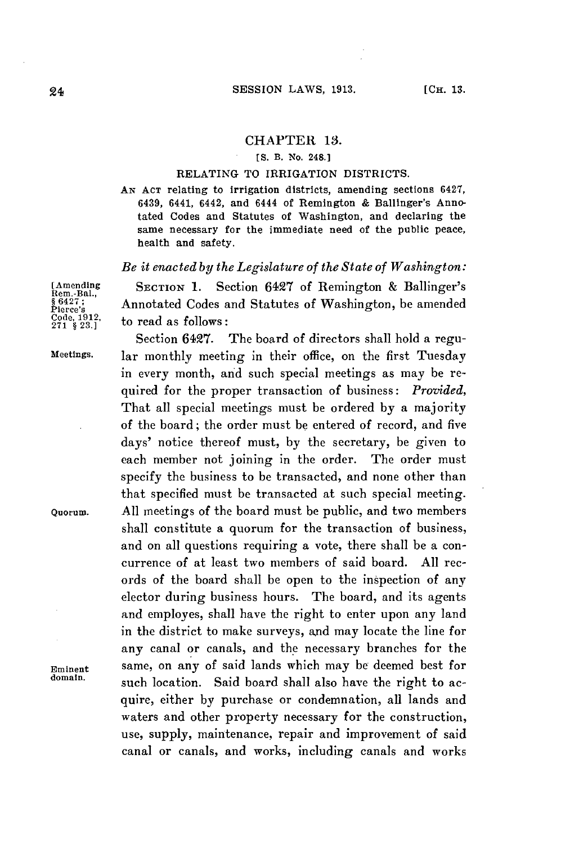## **CHAPTER 13.**

## **[S. B. No. 248.1**

## RELATING TO IRRIGATION DISTRICTS.

**AN ACT** relating to irrigation districts, amending sections 6427, 6439, 6441, 6442, and 6444 of Remington **&** Ballinger's Annotated Codes and Statutes of Washington, and declaring the same necessary for the immediate need of the public peace, health and safety.

## *Be it enacted by the Legislature of the State of Washington:*

**[Amending SECTION 1.** Section 6427 of Remington **&** Ballinger's **Rem.-Bal., Pier642** Annotated Codes and Statutes of Washington, be amended **<sup>271</sup>**e **23.'** to read as follows:

Section 6427. The board of directors shall hold a regu-**Meetings.** lar monthly meeting in their office, on the first Tuesday in every month, and such special meetings as may be required for the proper transaction of business: *Provided,* That all special meetings must be ordered **by** a majority of the board; the order must be entered of record, and five days' notice thereof must, **by** the secretary, be given to each member not joining in the order. The order must specify the business to be transacted, and none other than that specified must be transacted at such special meeting. **Quorum. All** meetings of the board must be public, and two members shall constitute a quorum for the transaction of business, and on all questions requiring a vote, there shall be a concurrence of at least two members of said board. **All** records of the board shall be open to the inspection of any elector during business hours. The board, and its agents and employes, shall have the right to enter upon any land in the district to make surveys, and may locate the line for any canal or canals, and the necessary branches for the **Eminent** same, on any of said lands which may be deemed best for such location. Said board shall also have the right to acquire, either **by** purchase or condemnation, all lands and waters and other property necessary for the construction, use, supply, maintenance, repair and improvement of said canal or canals, and works, including canals and works

**Code, 1912,**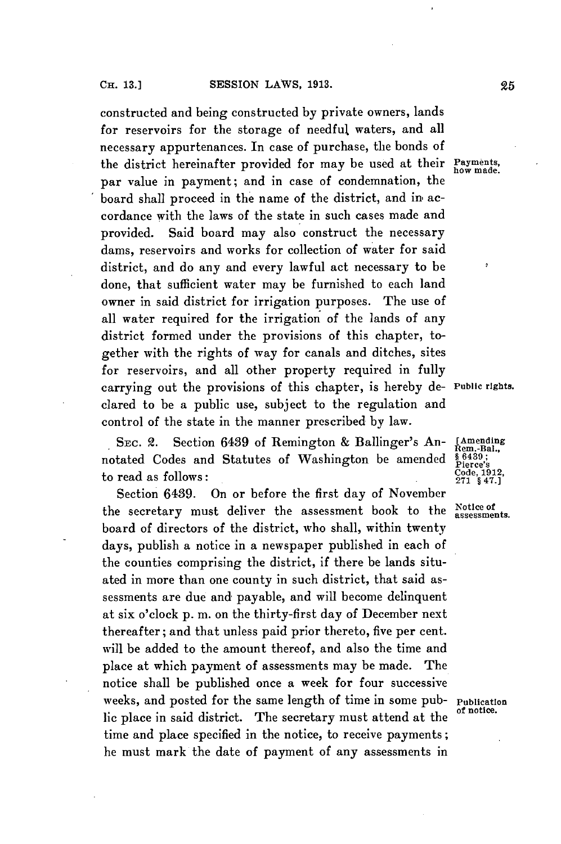constructed and being constructed **by** private owners, lands for reservoirs for the storage of needful waters, and all necessary appurtenances. In case of purchase, the bonds of the district hereinafter provided for may be used at their **Payments,** par value in payment; and in case of condemnation, the board shall proceed in the name of the district, and in accordance with the laws of the state in such cases made and provided. Said board may also construct the necessary dams, reservoirs and works for collection of water for said district, and do any and every lawful act necessary to be done, that sufficient water may be furnished to each land owner in said district for irrigation purposes. The use of all water required for the irrigation of the lands of any district formed under the provisions of this chapter, together with the rights of way for canals and ditches, sites for reservoirs, and all other property required in fully carrying out the provisions of this chapter, is hereby de- **Public rights.** clared to be a public use, subject to the regulation and control of the state in the manner prescribed **by** law.

SEC. 2. Section 6439 of Remington & Ballinger's An- **[Amending** otated Codes and Statutes of Washington be amended  $\frac{\$6439}{\$64803}$ ; notated Codes and Statutes of Washington be amended  $\frac{$6439}{$^{6439}_{216}$}$  to read as follows:<br>  $\frac{1312}{271}_{847,1}$  $\mathbf{t}$  o read as follows:

Section 6439. On or before the first day of November the secretary must deliver the assessment book to the  $N$ otice of board of directors of the district, who shall, within twenty days, publish a notice in a newspaper published in each of the counties comprising the district, if there be lands situated in more than one county in such district, that said assessments are due and payable, and will become delinquent at six o'clock **p.** m. on the thirty-first day of December next thereafter; and that unless paid prior thereto, five per cent. will be added to the amount thereof, and also the time and place at which payment of assessments may be made. The notice shall be published once a week for four successive weeks, and posted for the same length of time in some pub- **Publication** lic place in said district. The secretary must attend at the time and place specified in the notice, to receive payments; he must mark the date of payment of any assessments in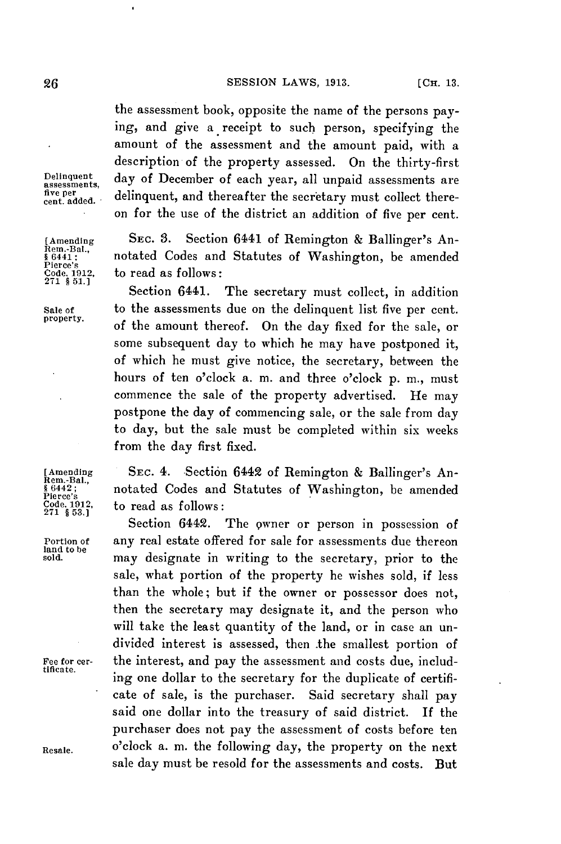the assessment book, opposite the name of the persons paying, and give a receipt to such person, specifying the amount of the assessment and the amount paid, with a description of the property assessed. On the thirty-first Delinquent, day of December of each year, all unpaid assessments are five per delinquent, and thereafter the secretary must collect thereon for the use of the district an addition of five per cent.

**[Amending SEC. 3.** Section 6441 of Remington **&** Ballinger's An-**§ 6441;** notated Codes and Statutes of Washington, be amended to read as follows:

Section 6441. The secretary must collect, in addition Sale **of** to the assessments due on the delinquent list five per cent. of the amount thereof. On the day fixed for the sale, or some subsequent day to which he may have postponed it, of which he must give notice, the secretary, between the hours of ten o'clock a. m. and three o'clock p. m., must commence the sale of the property advertised. He may postpone the day of commencing sale, or the sale from day to day, but the sale must be completed within six weeks from the day first fixed.

[Amending **SEC.** 4. Section 6442 of Remington **&** Ballinger's An- **Rem.-Bal.,**  $\frac{1}{86442}$ ; notated Codes and Statutes of Washington, be amended Pierce's<br>Pierce's 1912, **the read as follows**: Code, **1912** to read as follows: **<sup>271</sup>§ 53.]**

The owner or person in possession of Portion of any real estate offered for sale for assessments due thereon **sold.** may designate in writing to the secretary, prior to the sale, what portion of the property he wishes sold, if less than the whole; but if the owner or possessor does not, then the secretary may designate it, and the person who will take the least quantity of the land, or in case an undivided interest is assessed, then the smallest portion of Fee for cer-<br>tificate. ing one dollar to the secretary for the duplicate of certificate of sale, is the purchaser. Said secretary shall pay said one dollar into the treasury of said district. If the purchaser does not pay the assessment of costs before ten **Resale.** o'clock a. m. the following day, the property on the next sale day must be resold for the assessments and costs. But

**Rem.-Bal,** Pierce's<br>Code, 1912,<br>271 \$ 51.1

land to be<br>sold.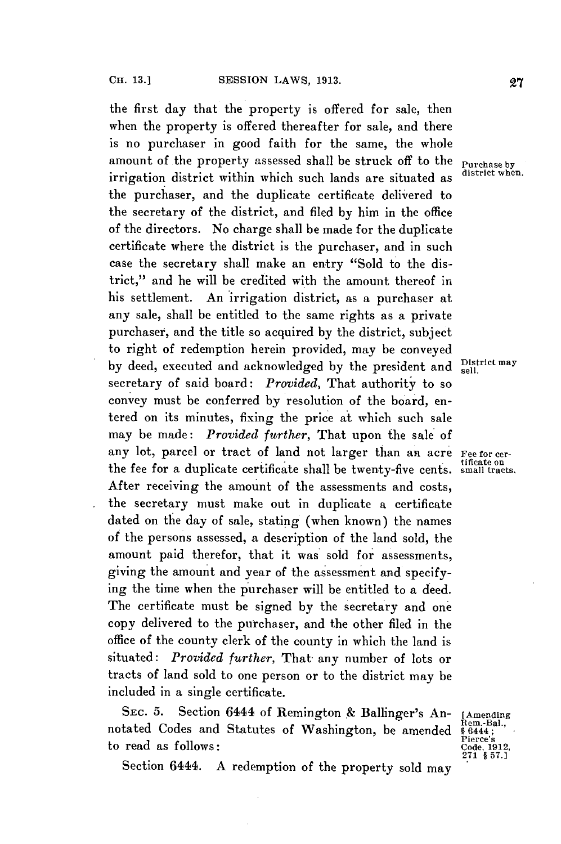the first day that the property is offered for sale, then when the property is offered thereafter for sale, and there is no purchaser in good faith for the same, the whole amount of the property assessed shall be struck off to the Purchase **by** irrigation district within which such lands are situated as the purchaser, and the duplicate certificate delivered to the secretary of the district, and filed **by** him in the office of the directors. No charge shall be made for the duplicate certificate where the district is the purchaser, and in such case the secretary shall make an entry "Sold to the district," and he will be credited with the amount thereof in his settlement. An irrigation district, as a purchaser at any sale, shall be entitled to the same rights as a private purchaser, and the title so acquired **by** the district, subject to right of redemption herein provided, may be conveyed by deed, executed and acknowledged by the president and **District may** secretary of said board: *Provided,* That authority to so convey must be conferred **by** resolution of the board, entered on its minutes, fixing the price at which such sale may be made: *Provided further,* That upon the sale of any lot, parcel or tract of land not larger than an acre Fee for cer-<br>the fee for a duplicate certificate shall be twenty-five cents. small tracts. After receiving the amount of the assessments and costs, the secretary must make out in duplicate a certificate dated on the day of sale, stating (when known) the names of the persons assessed, a description of the land sold, the amount paid therefor, that it was sold for assessments, giving the amount and year of the assessment and specifying the time when the purchaser will be entitled to a deed. The certificate must be signed **by** the secretary and one copy delivered to the purchaser, and the other filed in the office of the county clerk of the county in which the land is situated: *Provided further,* That- any number of lots or tracts of land sold to one person or to the district may be included in a single certificate.

**SEc. 5.** Section 6444 of Remington **&** Ballinger's An- [Amending notated Codes and Statutes of Washington, be amended to read as follows:

Pierce's **271 § 57.]**

Section 6444. A redemption of the property sold may